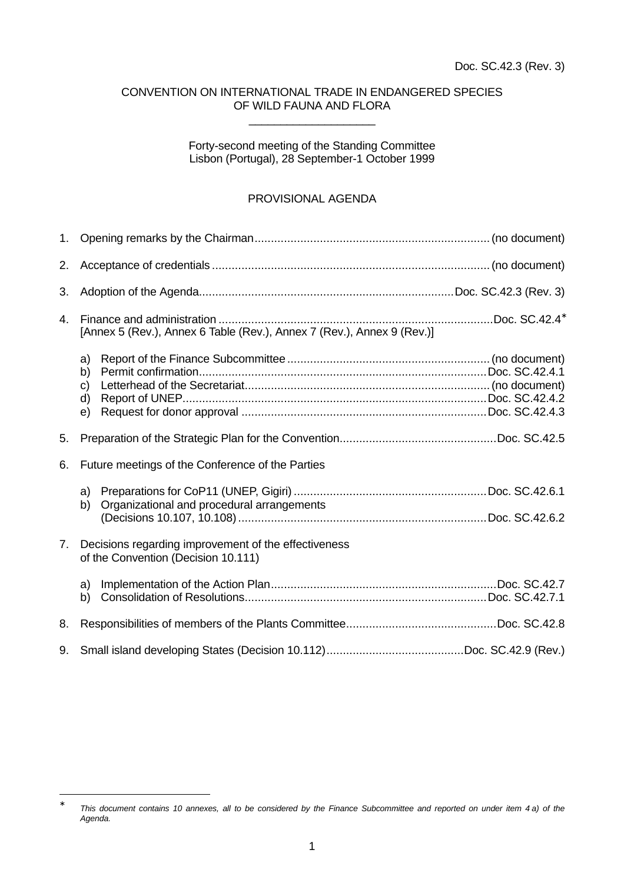#### CONVENTION ON INTERNATIONAL TRADE IN ENDANGERED SPECIES OF WILD FAUNA AND FLORA \_\_\_\_\_\_\_\_\_\_\_\_\_\_\_\_\_\_\_\_

### Forty-second meeting of the Standing Committee Lisbon (Portugal), 28 September-1 October 1999

#### PROVISIONAL AGENDA

| 1.             |                                                                                             |  |
|----------------|---------------------------------------------------------------------------------------------|--|
| 2.             |                                                                                             |  |
| 3.             |                                                                                             |  |
| $\mathbf{4}$ . | [Annex 5 (Rev.), Annex 6 Table (Rev.), Annex 7 (Rev.), Annex 9 (Rev.)]                      |  |
|                | a)<br>b)<br>$\mathsf{C}$<br>d)<br>e)                                                        |  |
| 5.             |                                                                                             |  |
| 6.             | Future meetings of the Conference of the Parties                                            |  |
|                | a)<br>Organizational and procedural arrangements<br>b)                                      |  |
| 7.             | Decisions regarding improvement of the effectiveness<br>of the Convention (Decision 10.111) |  |
|                | a)<br>b)                                                                                    |  |
| 8.             |                                                                                             |  |
| 9.             |                                                                                             |  |

<sup>∗</sup> *This document contains 10 annexes, all to be considered by the Finance Subcommittee and reported on under item 4 a) of the Agenda.*